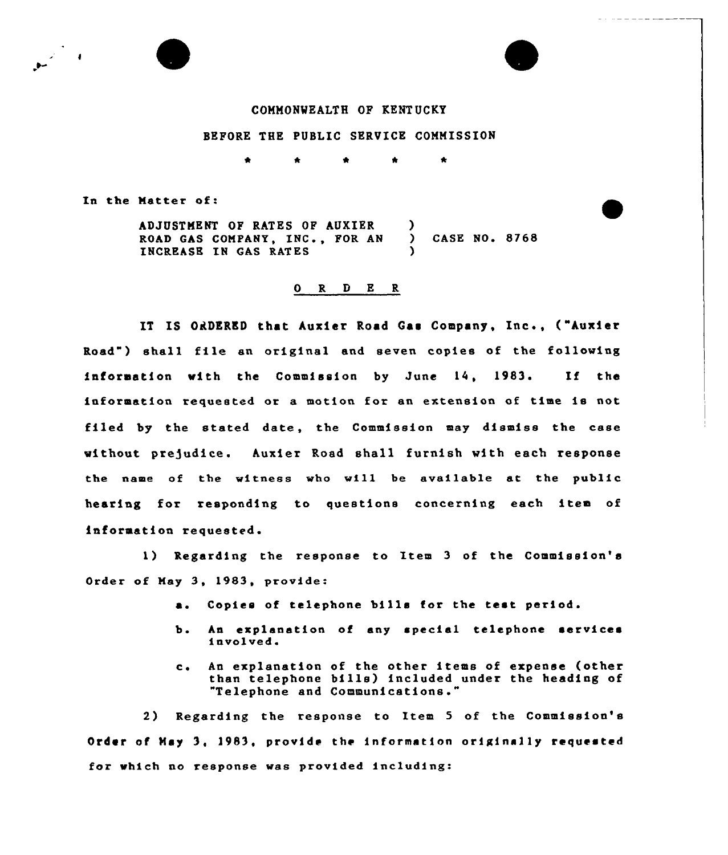

## BEFORE THE PUBLIC SERVICE COMMISSION

 $\bullet$  $\bullet$ 

In the Hatter of:

ADJUSTMENT OP RATES OF AUKIER ROAD GAS COMPANY, INC., FOR AN INCREASE IN GAS RATES ) ) CASE NO. 8768 )

## 0 R <sup>D</sup> E R

IT IS ORDERED that Auxier Road Gas Company, Inc., ("kuxier Road") shall file an original and seven copies of the followin IT IS ORDERED that Auxier Road Gas Company, Inc., ("Auxier<br>Road") shall file an original and seven copies of the following<br>information with the Commission by June 14, 1983. If the information requested or a motion for an extension of time is not filed by the stated date, the Commission may dismiss the case without prejudice. Auxier Road shall furnish with each response the name of the witness who will be available at the public hearing for responding to questions concerning each item of information requested.

1) Regarding the response to Item <sup>3</sup> of the Commission's Order of Hay 3, 1983, provide:

- a. Copies of telephone bills for the test period.
- b. An explanation of any special telephone services involved.
- c. An explanation of the other items of expense (other than telephone bills) included under the heading of "Telephone and Communications."

2) Regarding the response to Item <sup>5</sup> of the Commission's Order of May 3, 1983, provide the information originally requested for which no response was provided including: